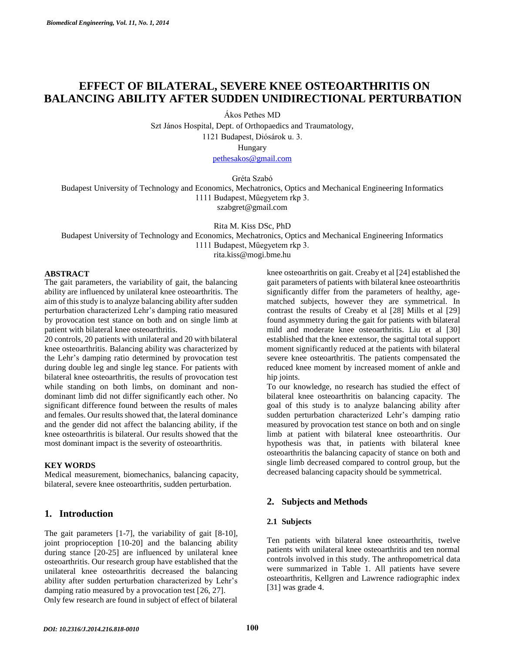# **EFFECT OF BILATERAL, SEVERE KNEE OSTEOARTHRITIS ON BALANCING ABILITY AFTER SUDDEN UNIDIRECTIONAL PERTURBATION**

Ákos Pethes MD

Szt János Hospital, Dept. of Orthopaedics and Traumatology, 1121 Budapest, Diósárok u. 3. Hungary

[pethesakos@gmail.com](mailto:pethesakos@gmail.com)

Gréta Szabó

Budapest University of Technology and Economics, Mechatronics, Optics and Mechanical Engineering Informatics 1111 Budapest, Műegyetem rkp 3. szabgret@gmail.com

Rita M. Kiss DSc, PhD

Budapest University of Technology and Economics, Mechatronics, Optics and Mechanical Engineering Informatics 1111 Budapest, Műegyetem rkp 3.

rita.kiss@mogi.bme.hu

### **ABSTRACT**

The gait parameters, the variability of gait, the balancing ability are influenced by unilateral knee osteoarthritis. The aim of this study is to analyze balancing ability after sudden perturbation characterized Lehr's damping ratio measured by provocation test stance on both and on single limb at patient with bilateral knee osteoarthritis.

20 controls, 20 patients with unilateral and 20 with bilateral knee osteoarthritis. Balancing ability was characterized by the Lehr's damping ratio determined by provocation test during double leg and single leg stance. For patients with bilateral knee osteoarthritis, the results of provocation test while standing on both limbs, on dominant and nondominant limb did not differ significantly each other. No significant difference found between the results of males and females. Our results showed that, the lateral dominance and the gender did not affect the balancing ability, if the knee osteoarthritis is bilateral. Our results showed that the most dominant impact is the severity of osteoarthritis.

#### **KEY WORDS**

Medical measurement, biomechanics, balancing capacity, bilateral, severe knee osteoarthritis, sudden perturbation.

# **1. Introduction**

The gait parameters [1-7], the variability of gait [8-10], joint proprioception [10-20] and the balancing ability during stance [20-25] are influenced by unilateral knee osteoarthritis. Our research group have established that the unilateral knee osteoarthritis decreased the balancing ability after sudden perturbation characterized by Lehr's damping ratio measured by a provocation test [26, 27].

Only few research are found in subject of effect of bilateral

knee osteoarthritis on gait. Creaby et al [24] established the gait parameters of patients with bilateral knee osteoarthritis significantly differ from the parameters of healthy, agematched subjects, however they are symmetrical. In contrast the results of Creaby et al [28] Mills et al [29] found asymmetry during the gait for patients with bilateral mild and moderate knee osteoarthritis. Liu et al [30] established that the knee extensor, the sagittal total support moment significantly reduced at the patients with bilateral severe knee osteoarthritis. The patients compensated the reduced knee moment by increased moment of ankle and hip joints.

To our knowledge, no research has studied the effect of bilateral knee osteoarthritis on balancing capacity. The goal of this study is to analyze balancing ability after sudden perturbation characterized Lehr's damping ratio measured by provocation test stance on both and on single limb at patient with bilateral knee osteoarthritis. Our hypothesis was that, in patients with bilateral knee osteoarthritis the balancing capacity of stance on both and single limb decreased compared to control group, but the decreased balancing capacity should be symmetrical.

## **2. Subjects and Methods**

#### **2.1 Subjects**

Ten patients with bilateral knee osteoarthritis, twelve patients with unilateral knee osteoarthritis and ten normal controls involved in this study. The anthropometrical data were summarized in Table 1. All patients have severe osteoarthritis, Kellgren and Lawrence radiographic index [31] was grade 4.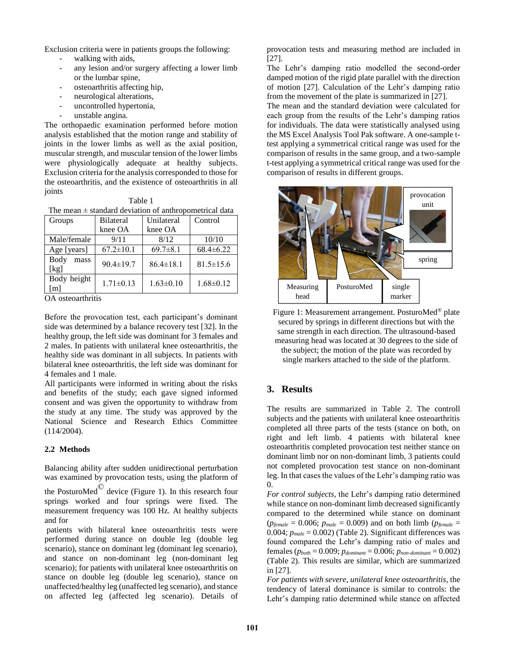Exclusion criteria were in patients groups the following:

- walking with aids,
- any lesion and/or surgery affecting a lower limb or the lumbar spine,
- osteoarthritis affecting hip,
- neurological alterations,
- uncontrolled hypertonia,
- unstable angina.

The orthopaedic examination performed before motion analysis established that the motion range and stability of joints in the lower limbs as well as the axial position, muscular strength, and muscular tension of the lower limbs were physiologically adequate at healthy subjects. Exclusion criteria for the analysis corresponded to those for the osteoarthritis, and the existence of osteoarthritis in all joints

| × | ۹ |  |
|---|---|--|
|   |   |  |

| Groups               | <b>Bilateral</b> | Unilateral      | Control         |
|----------------------|------------------|-----------------|-----------------|
|                      | knee OA          | knee OA         |                 |
| Male/female          | 9/11             | 8/12            | 10/10           |
| Age [years]          | $67.2 \pm 10.1$  | $69.7 \pm 8.1$  | $68.4 \pm 6.22$ |
| Body<br>mass<br>[kg] | $90.4 \pm 19.7$  | $86.4 \pm 18.1$ | $81.5 \pm 15.6$ |
| Body height<br>[m]   | $1.71 \pm 0.13$  | $1.63 \pm 0.10$ | $1.68 \pm 0.12$ |

OA osteoarthritis

Before the provocation test, each participant's dominant side was determined by a balance recovery test [32]. In the healthy group, the left side was dominant for 3 females and 2 males. In patients with unilateral knee osteoarthritis, the healthy side was dominant in all subjects. In patients with bilateral knee osteoarthritis, the left side was dominant for 4 females and 1 male.

All participants were informed in writing about the risks and benefits of the study; each gave signed informed consent and was given the opportunity to withdraw from the study at any time. The study was approved by the National Science and Research Ethics Committee (114/2004).

### **2.2 Methods**

Balancing ability after sudden unidirectional perturbation was examined by provocation tests, using the platform of

the PosturoMed $^{\circ}$  device (Figure 1). In this research four springs worked and four springs were fixed. The measurement frequency was 100 Hz. At healthy subjects and for

 patients with bilateral knee osteoarthritis tests were performed during stance on double leg (double leg scenario), stance on dominant leg (dominant leg scenario), and stance on non-dominant leg (non-dominant leg scenario); for patients with unilateral knee osteoarthritis on stance on double leg (double leg scenario), stance on unaffected/healthy leg (unaffected leg scenario), and stance on affected leg (affected leg scenario). Details of

provocation tests and measuring method are included in [27].

The Lehr's damping ratio modelled the second-order damped motion of the rigid plate parallel with the direction of motion [27]. Calculation of the Lehr's damping ratio from the movement of the plate is summarized in [27].

The mean and the standard deviation were calculated for each group from the results of the Lehr's damping ratios for individuals. The data were statistically analysed using the MS Excel Analysis Tool Pak software. A one-sample ttest applying a symmetrical critical range was used for the comparison of results in the same group, and a two-sample t-test applying a symmetrical critical range was used for the comparison of results in different groups.



Figure 1: Measurement arrangement. PosturoMed® plate secured by springs in different directions but with the same strength in each direction. The ultrasound-based measuring head was located at 30 degrees to the side of the subject; the motion of the plate was recorded by single markers attached to the side of the platform.

# **3. Results**

The results are summarized in Table 2. The controll subjects and the patients with unilateral knee osteoarthritis completed all three parts of the tests (stance on both, on right and left limb. 4 patients with bilateral knee osteoarthritis completed provocation test neither stance on dominant limb nor on non-dominant limb, 3 patients could not completed provocation test stance on non-dominant leg. In that cases the values of the Lehr's damping ratio was 0.

*For control subjects,* the Lehr's damping ratio determined while stance on non-dominant limb decreased significantly compared to the determined while stance on dominant  $(p_{\text{female}} = 0.006; p_{\text{male}} = 0.009)$  and on both limb ( $p_{\text{female}} =$ 0.004;  $p_{male} = 0.002$ ) (Table 2). Significant differences was found compared the Lehr's damping ratio of males and females (*pboth* = 0.009; *pdominant* = 0.006; *pnon-dominant* = 0.002) (Table 2). This results are similar, which are summarized in [27].

*For patients with severe, unilateral knee osteoarthritis*, the tendency of lateral dominance is similar to controls: the Lehr's damping ratio determined while stance on affected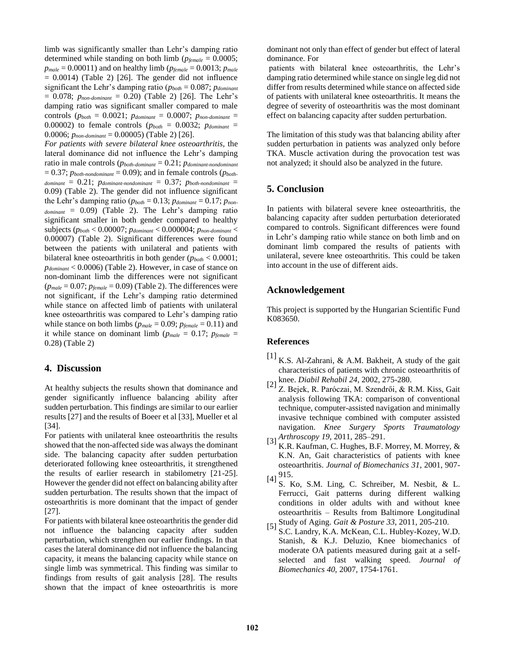limb was significantly smaller than Lehr's damping ratio determined while standing on both limb (*pfemale* = 0.0005;  $p_{male} = 0.00011$ ) and on healthy limb ( $p_{female} = 0.0013$ ;  $p_{male}$ )  $= 0.0014$ ) (Table 2) [26]. The gender did not influence significant the Lehr's damping ratio (*pboth* = 0.087; *pdominant* = 0.078; *pnon-dominant* = 0.20) (Table 2) [26]. The Lehr's damping ratio was significant smaller compared to male controls ( $p_{both} = 0.0021$ ;  $p_{dominant} = 0.0007$ ;  $p_{non-dominant} =$ 0.00002) to female controls ( $p_{both} = 0.0032$ ;  $p_{dominant} =$ 0.0006; *pnon-dominant* = 0.00005) (Table 2) [26].

*For patients with severe bilateral knee osteoarthritis,* the lateral dominance did not influence the Lehr's damping ratio in male controls (*pboth-dominant* = 0.21; *pdominant-nondominant*  $= 0.37$ ;  $p_{both\text{-}nondominant} = 0.09$ ); and in female controls ( $p_{both\text{-}}$  $d$ ominant =  $0.21$ ;  $p_{dominant\text{-}nondominant} = 0.37$ ;  $p_{both\text{-}nondominant}$ 0.09) (Table 2). The gender did not influence significant the Lehr's damping ratio ( $p_{both} = 0.13$ ;  $p_{dominant} = 0.17$ ;  $p_{non}$  $_{dominant}$  = 0.09) (Table 2). The Lehr's damping ratio significant smaller in both gender compared to healthy subjects (*pboth* < 0.00007; *pdominant* < 0.000004; *pnon-dominant* < 0.00007) (Table 2). Significant differences were found between the patients with unilateral and patients with bilateral knee osteoarthritis in both gender (*pboth* < 0.0001; *pdominant* < 0.0006) (Table 2). However, in case of stance on non-dominant limb the differences were not significant  $(p_{male} = 0.07; p_{female} = 0.09)$  (Table 2). The differences were not significant, if the Lehr's damping ratio determined while stance on affected limb of patients with unilateral knee osteoarthritis was compared to Lehr's damping ratio while stance on both limbs ( $p_{male} = 0.09$ ;  $p_{female} = 0.11$ ) and it while stance on dominant limb ( $p_{male} = 0.17$ ;  $p_{female} =$ 0.28) (Table 2)

# **4. Discussion**

At healthy subjects the results shown that dominance and gender significantly influence balancing ability after sudden perturbation. This findings are similar to our earlier results [27] and the results of Boeer et al [33], Mueller et al [34].

For patients with unilateral knee osteoarthritis the results showed that the non-affected side was always the dominant side. The balancing capacity after sudden perturbation deteriorated following knee osteoarthritis, it strengthened the results of earlier research in stabilometry [21-25]. However the gender did not effect on balancing ability after sudden perturbation. The results shown that the impact of osteoarthritis is more dominant that the impact of gender [27].

For patients with bilateral knee osteoarthritis the gender did not influence the balancing capacity after sudden perturbation, which strengthen our earlier findings. In that cases the lateral dominance did not influence the balancing capacity, it means the balancing capacity while stance on single limb was symmetrical. This finding was similar to findings from results of gait analysis [28]. The results shown that the impact of knee osteoarthritis is more dominant not only than effect of gender but effect of lateral dominance. For

patients with bilateral knee osteoarthritis, the Lehr's damping ratio determined while stance on single leg did not differ from results determined while stance on affected side of patients with unilateral knee osteoarthritis. It means the degree of severity of osteoarthritis was the most dominant effect on balancing capacity after sudden perturbation.

The limitation of this study was that balancing ability after sudden perturbation in patients was analyzed only before TKA. Muscle activation during the provocation test was not analyzed; it should also be analyzed in the future.

# **5. Conclusion**

In patients with bilateral severe knee osteoarthritis, the balancing capacity after sudden perturbation deteriorated compared to controls. Significant differences were found in Lehr's damping ratio while stance on both limb and on dominant limb compared the results of patients with unilateral, severe knee osteoarthritis. This could be taken into account in the use of different aids.

# **Acknowledgement**

This project is supported by the Hungarian Scientific Fund K083650.

## **References**

- $[1]$  K.S. Al-Zahrani, & A.M. Bakheit, A study of the gait characteristics of patients with chronic osteoarthritis of
- knee. *Diabil Rehabil <sup>24</sup>*, 2002, 275-280. [2] Z. Bejek, R. Paróczai, M. Szendrői, & R.M. Kiss, Gait analysis following TKA: comparison of conventional technique, computer-assisted navigation and minimally invasive technique combined with computer assisted navigation. *Knee Surgery Sports Traumatology*<br>[3] *Krhroscopy 19,* 2011, 285–291.
- K.R. Kaufman, C. Hughes, B.F. Morrey, M. Morrey, & K.N. An, Gait characteristics of patients with knee osteoarthritis. *Journal of Biomechanics 31*, 2001, 907-
- 915. [4] S. Ko, S.M. Ling, C. Schreiber, M. Nesbit, & L. Ferrucci, Gait patterns during different walking conditions in older adults with and without knee osteoarthritis – Results from Baltimore Longitudinal
- Study of Aging. *Gait & Posture 33*, 2011, 205-210. [5] S.C. Landry, K.A. McKean, C.L. Hubley-Kozey, W.D. Stanish, & K.J. Deluzio, Knee biomechanics of moderate OA patients measured during gait at a selfselected and fast walking speed. *Journal of Biomechanics 40,* 2007, 1754-1761.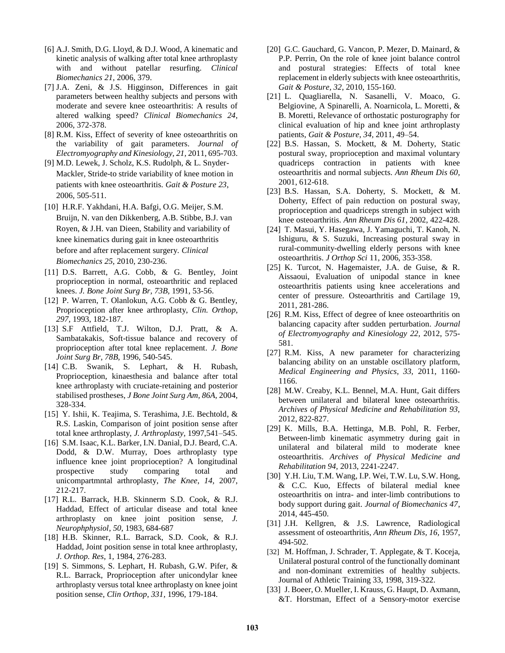- [6] A.J. Smith, D.G. Lloyd, & D.J. Wood, A kinematic and kinetic analysis of walking after total knee arthroplasty with and without patellar resurfing. *Clinical Biomechanics 21*, 2006, 379.
- [7] J.A. Zeni, & J.S. Higginson, Differences in gait parameters between healthy subjects and persons with moderate and severe knee osteoarthritis: A results of altered walking speed? *Clinical Biomechanics 24*, 2006, 372-378.
- [8] R.M. Kiss, Effect of severity of knee osteoarthritis on the variability of gait parameters. *Journal of Electromyography and Kinesiology, 21,* 2011, 695-703.
- [9] M.D. Lewek, J. Scholz, K.S. Rudolph, & L. Snyder-Mackler, Stride-to stride variability of knee motion in patients with knee osteoarthritis. *Gait & Posture 23*, 2006, 505-511.
- [10] H.R.F. Yakhdani, H.A. Bafgi, O.G. Meijer, S.M. Bruijn, N. van den Dikkenberg, A.B. Stibbe, B.J. van Royen, & J.H. van Dieen, Stability and variability of knee kinematics during gait in knee osteoarthritis before and after replacement surgery. *Clinical Biomechanics 25,* 2010, 230-236.
- [11] D.S. Barrett, A.G. Cobb, & G. Bentley, Joint proprioception in normal, osteoarthritic and replaced knees. *J. Bone Joint Surg Br, 73B,* 1991, 53-56.
- [12] P. Warren, T. Olanlokun, A.G. Cobb & G. Bentley, Proprioception after knee arthroplasty, *Clin. Orthop, 297,* 1993, 182-187.
- [13] S.F Attfield, T.J. Wilton, D.J. Pratt, & A. Sambatakakis, Soft-tissue balance and recovery of proprioception after total knee replacement. *J. Bone Joint Surg Br*, *78B,* 1996, 540-545.
- [14] C.B. Swanik, S. Lephart, & H. Rubash, Proprioception, kinaesthesia and balance after total knee arthroplasty with cruciate-retaining and posterior stabilised prostheses, *J Bone Joint Surg Am, 86A,* 2004, 328-334.
- [15] Y. Ishii, K. Teajima, S. Terashima, J.E. Bechtold, & R.S. Laskin, Comparison of joint position sense after total knee arthroplasty, *J. Arthroplasty,* 1997,541–545.
- [16] S.M. Isaac, K.L. Barker, I.N. Danial, D.J. Beard, C.A. Dodd, & D.W. Murray, Does arthroplasty type influence knee joint proprioception? A longitudinal prospective study comparing total and unicompartmntal arthroplasty, *The Knee*, *14,* 2007, 212-217.
- [17] R.L. Barrack, H.B. Skinnerm S.D. Cook, & R.J. Haddad, Effect of articular disease and total knee arthroplasty on knee joint position sense, *J. Neurophphysiol*, *50,* 1983, 684-687
- [18] H.B. Skinner, R.L. Barrack, S.D. Cook, & R.J. Haddad, Joint position sense in total knee arthroplasty, *J. Orthop. Res*, 1, 1984, 276-283.
- [19] S. Simmons, S. Lephart, H. Rubash, G.W. Pifer, & R.L. Barrack, Proprioception after unicondylar knee arthroplasty versus total knee arthroplasty on knee joint position sense, *Clin Orthop*, *331,* 1996, 179-184.
- [20] G.C. Gauchard, G. Vancon, P. Mezer, D. Mainard, & P.P. Perrin, On the role of knee joint balance control and postural strategies: Effects of total knee replacement in elderly subjects with knee osteoarthritis, *Gait & Posture, 32*, 2010, 155-160.
- [21] L. Quagliarella, N. Sasanelli, V. Moaco, G. Belgiovine, A Spinarelli, A. Noarnicola, L. Moretti, & B. Moretti, Relevance of orthostatic posturography for clinical evaluation of hip and knee joint arthroplasty patients, *Gait & Posture*, *34,* 2011, 49–54.
- [22] B.S. Hassan, S. Mockett, & M. Doherty, Static postural sway, proprioception and maximal voluntary quadriceps contraction in patients with knee osteoarthritis and normal subjects. *Ann Rheum Dis 60,* 2001, 612-618.
- [23] B.S. Hassan, S.A. Doherty, S. Mockett, & M. Doherty, Effect of pain reduction on postural sway, proprioception and quadriceps strength in subject with knee osteoarthritis. *Ann Rheum Dis 61*, 2002, 422-428.
- [24] T. Masui, Y. Hasegawa, J. Yamaguchi, T. Kanoh, N. Ishiguru, & S. Suzuki, Increasing postural sway in rural-community-dwelling elderly persons with knee osteoarthritis. *J Orthop Sci* 11, 2006, 353-358.
- [25] K. Turcot, N. Hagemaister, J.A. de Guise, & R. Aissaoui, Evaluation of unipodal stance in knee osteoarthritis patients using knee accelerations and center of pressure. Osteoarthritis and Cartilage 19, 2011, 281-286.
- [26] R.M. Kiss, Effect of degree of knee osteoarthritis on balancing capacity after sudden perturbation. *Journal of Electromyography and Kinesiology 22,* 2012, 575- 581.
- [27] R.M. Kiss, A new parameter for characterizing balancing ability on an unstable oscillatory platform, *Medical Engineering and Physics, 33,* 2011, 1160- 1166.
- [28] M.W. Creaby, K.L. Bennel, M.A. Hunt, Gait differs between unilateral and bilateral knee osteoarthritis. *Archives of Physical Medicine and Rehabilitation 93,*  2012, 822-827.
- [29] K. Mills, B.A. Hettinga, M.B. Pohl, R. Ferber, Between-limb kinematic asymmetry during gait in unilateral and bilateral mild to moderate knee osteoarthritis. *Archives of Physical Medicine and Rehabilitation 94,* 2013, 2241-2247.
- [30] Y.H. Liu, T.M. Wang, I.P. Wei, T.W. Lu, S.W. Hong, & C.C. Kuo, Effects of bilateral medial knee osteoarthritis on intra- and inter-limb contributions to body support during gait. *Journal of Biomechanics 47*, 2014, 445-450.
- [31] J.H. Kellgren, & J.S. Lawrence, Radiological assessment of osteoarthritis, *Ann Rheum Dis, 16,* 1957, 494-502.
- [32] M. Hoffman, J. Schrader, T. Applegate, & T. Koceja, Unilateral postural control of the functionally dominant and non-dominant extremities of healthy subjects. Journal of Athletic Training 33, 1998, 319-322.
- [33] J. Boeer, O. Mueller, I. Krauss, G. Haupt, D. Axmann, &T. Horstman, Effect of a Sensory-motor exercise